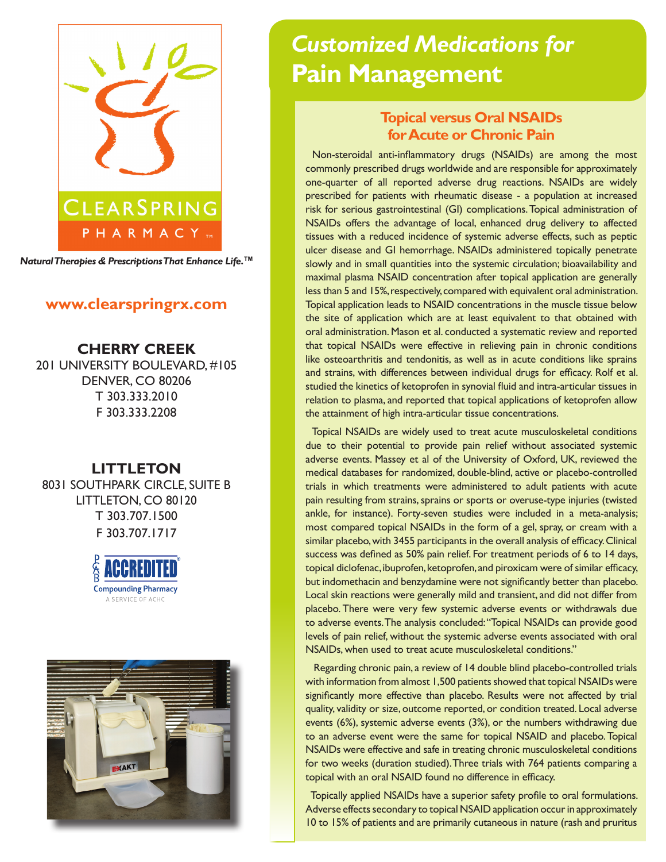

*Natural Therapies & Prescriptions That Enhance Life.***TM**

## **www.clearspringrx.com**

**CHERRY CREEK** 201 UNIVERSITY BOULEVARD, #105 DENVER, CO 80206 T 303.333.2010 F 303.333.2208

## **LITTLETON**

8031 SOUTHPARK CIRCLE, SUITE B LITTLETON, CO 80120 T 303.707.1500 F 303.707.1717





# *Customized Medications for* **Pain Management**

# **Topical versus Oral NSAIDs for Acute or Chronic Pain**

 Non-steroidal anti-inflammatory drugs (NSAIDs) are among the most commonly prescribed drugs worldwide and are responsible for approximately one-quarter of all reported adverse drug reactions. NSAIDs are widely prescribed for patients with rheumatic disease - a population at increased risk for serious gastrointestinal (GI) complications. Topical administration of NSAIDs offers the advantage of local, enhanced drug delivery to affected tissues with a reduced incidence of systemic adverse effects, such as peptic ulcer disease and GI hemorrhage. NSAIDs administered topically penetrate slowly and in small quantities into the systemic circulation; bioavailability and maximal plasma NSAID concentration after topical application are generally less than 5 and 15%, respectively, compared with equivalent oral administration. Topical application leads to NSAID concentrations in the muscle tissue below the site of application which are at least equivalent to that obtained with oral administration. Mason et al. conducted a systematic review and reported that topical NSAIDs were effective in relieving pain in chronic conditions like osteoarthritis and tendonitis, as well as in acute conditions like sprains and strains, with differences between individual drugs for efficacy. Rolf et al. studied the kinetics of ketoprofen in synovial fluid and intra-articular tissues in relation to plasma, and reported that topical applications of ketoprofen allow the attainment of high intra-articular tissue concentrations.

 Topical NSAIDs are widely used to treat acute musculoskeletal conditions due to their potential to provide pain relief without associated systemic adverse events. Massey et al of the University of Oxford, UK, reviewed the medical databases for randomized, double-blind, active or placebo-controlled trials in which treatments were administered to adult patients with acute pain resulting from strains, sprains or sports or overuse-type injuries (twisted ankle, for instance). Forty-seven studies were included in a meta-analysis; most compared topical NSAIDs in the form of a gel, spray, or cream with a similar placebo, with 3455 participants in the overall analysis of efficacy. Clinical success was defined as 50% pain relief. For treatment periods of 6 to 14 days, topical diclofenac, ibuprofen, ketoprofen, and piroxicam were of similar efficacy, but indomethacin and benzydamine were not significantly better than placebo. Local skin reactions were generally mild and transient, and did not differ from placebo. There were very few systemic adverse events or withdrawals due to adverse events. The analysis concluded: "Topical NSAIDs can provide good levels of pain relief, without the systemic adverse events associated with oral NSAIDs, when used to treat acute musculoskeletal conditions."

 Regarding chronic pain, a review of 14 double blind placebo-controlled trials with information from almost 1,500 patients showed that topical NSAIDs were significantly more effective than placebo. Results were not affected by trial quality, validity or size, outcome reported, or condition treated. Local adverse events (6%), systemic adverse events (3%), or the numbers withdrawing due to an adverse event were the same for topical NSAID and placebo. Topical NSAIDs were effective and safe in treating chronic musculoskeletal conditions for two weeks (duration studied). Three trials with 764 patients comparing a topical with an oral NSAID found no difference in efficacy.

 Topically applied NSAIDs have a superior safety profile to oral formulations. Adverse effects secondary to topical NSAID application occur in approximately 10 to 15% of patients and are primarily cutaneous in nature (rash and pruritus